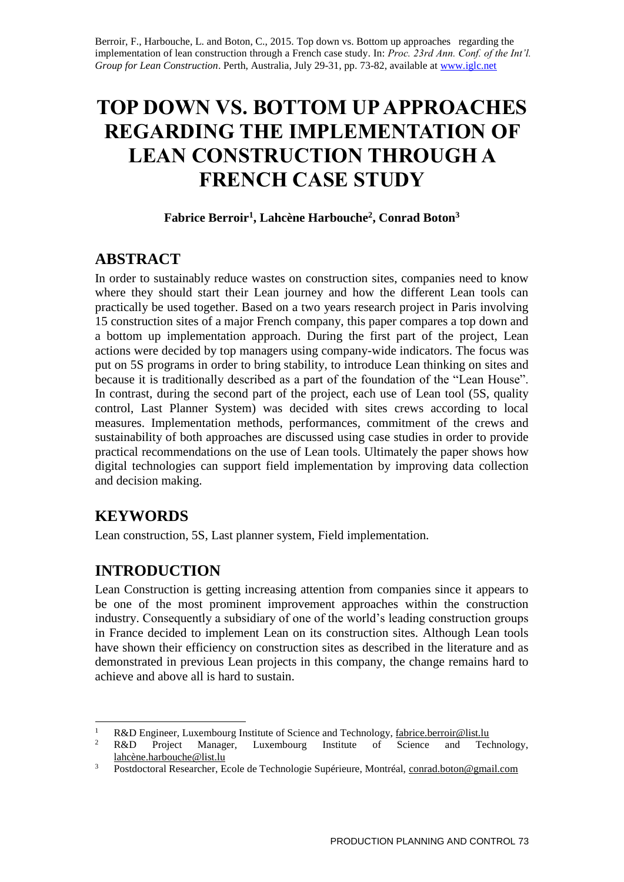Berroir, F., Harbouche, L. and Boton, C., 2015. Top down vs. Bottom up approaches regarding the implementation of lean construction through a French case study. In: *Proc. 23rd Ann. Conf. of the Int'l. Group for Lean Construction*. Perth, Australia, July 29-31, pp. 73-82, available at [www.iglc.net](http://www.iglc.net/)

# **TOP DOWN VS. BOTTOM UP APPROACHES REGARDING THE IMPLEMENTATION OF LEAN CONSTRUCTION THROUGH A FRENCH CASE STUDY**

#### **Fabrice Berroir<sup>1</sup> , Lahcène Harbouche<sup>2</sup> , Conrad Boton<sup>3</sup>**

# **ABSTRACT**

In order to sustainably reduce wastes on construction sites, companies need to know where they should start their Lean journey and how the different Lean tools can practically be used together. Based on a two years research project in Paris involving 15 construction sites of a major French company, this paper compares a top down and a bottom up implementation approach. During the first part of the project, Lean actions were decided by top managers using company-wide indicators. The focus was put on 5S programs in order to bring stability, to introduce Lean thinking on sites and because it is traditionally described as a part of the foundation of the "Lean House". In contrast, during the second part of the project, each use of Lean tool (5S, quality control, Last Planner System) was decided with sites crews according to local measures. Implementation methods, performances, commitment of the crews and sustainability of both approaches are discussed using case studies in order to provide practical recommendations on the use of Lean tools. Ultimately the paper shows how digital technologies can support field implementation by improving data collection and decision making.

# **KEYWORDS**

Lean construction, 5S, Last planner system, Field implementation.

# **INTRODUCTION**

Lean Construction is getting increasing attention from companies since it appears to be one of the most prominent improvement approaches within the construction industry. Consequently a subsidiary of one of the world's leading construction groups in France decided to implement Lean on its construction sites. Although Lean tools have shown their efficiency on construction sites as described in the literature and as demonstrated in previous Lean projects in this company, the change remains hard to achieve and above all is hard to sustain.

 $1\,$ 1 R&D Engineer, Luxembourg Institute of Science and Technology[, fabrice.berroir@list.lu](mailto:fabrice.berroir@list.lu)<br>2 B & D Project Manager I uxembourg Institute of Science and Tec

R&D Project Manager, Luxembourg Institute of Science and Technology, [lahcène.harbouche@list.lu](mailto:lahcène.harbouche@list.lu)

<sup>&</sup>lt;sup>3</sup> Postdoctoral Researcher, Ecole de Technologie Supérieure, Montréal, [conrad.boton@gmail.com](mailto:conrad.boton@gmail.com)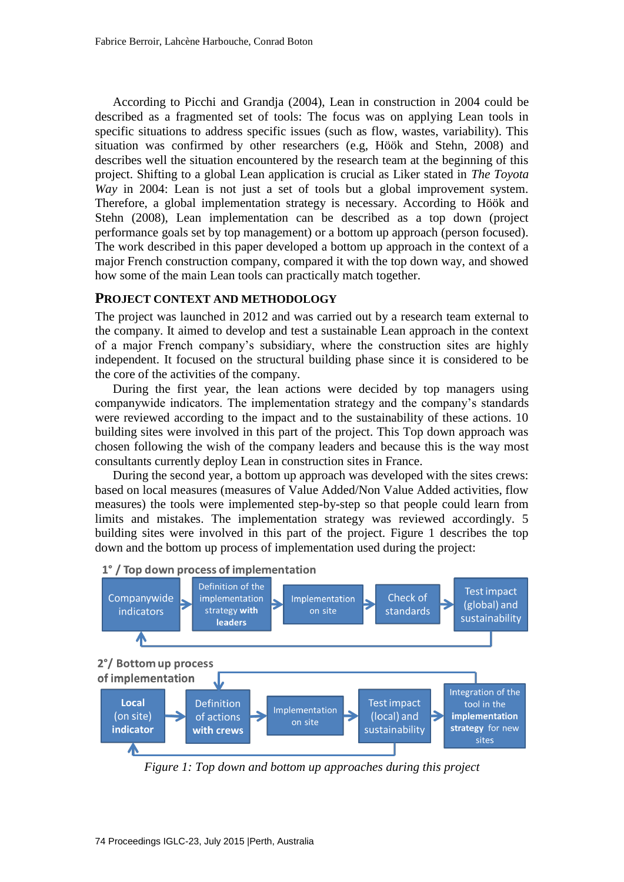According to Picchi and Grandja (2004), Lean in construction in 2004 could be described as a fragmented set of tools: The focus was on applying Lean tools in specific situations to address specific issues (such as flow, wastes, variability). This situation was confirmed by other researchers (e.g, Höök and Stehn, 2008) and describes well the situation encountered by the research team at the beginning of this project. Shifting to a global Lean application is crucial as Liker stated in *The Toyota Way* in 2004: Lean is not just a set of tools but a global improvement system. Therefore, a global implementation strategy is necessary. According to Höök and Stehn (2008), Lean implementation can be described as a top down (project performance goals set by top management) or a bottom up approach (person focused). The work described in this paper developed a bottom up approach in the context of a major French construction company, compared it with the top down way, and showed how some of the main Lean tools can practically match together.

#### **PROJECT CONTEXT AND METHODOLOGY**

The project was launched in 2012 and was carried out by a research team external to the company. It aimed to develop and test a sustainable Lean approach in the context of a major French company's subsidiary, where the construction sites are highly independent. It focused on the structural building phase since it is considered to be the core of the activities of the company.

During the first year, the lean actions were decided by top managers using companywide indicators. The implementation strategy and the company's standards were reviewed according to the impact and to the sustainability of these actions. 10 building sites were involved in this part of the project. This Top down approach was chosen following the wish of the company leaders and because this is the way most consultants currently deploy Lean in construction sites in France.

During the second year, a bottom up approach was developed with the sites crews: based on local measures (measures of Value Added/Non Value Added activities, flow measures) the tools were implemented step-by-step so that people could learn from limits and mistakes. The implementation strategy was reviewed accordingly. 5 building sites were involved in this part of the project. Figure 1 describes the top down and the bottom up process of implementation used during the project:



*Figure 1: Top down and bottom up approaches during this project*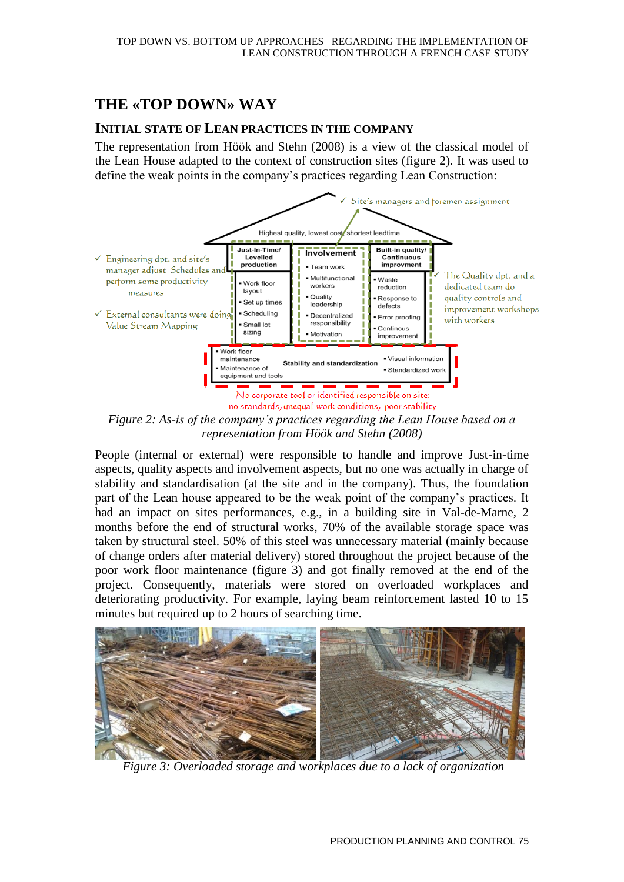# **THE «TOP DOWN» WAY**

#### **INITIAL STATE OF LEAN PRACTICES IN THE COMPANY**

The representation from Höök and Stehn (2008) is a view of the classical model of the Lean House adapted to the context of construction sites (figure 2). It was used to define the weak points in the company's practices regarding Lean Construction:



*Figure 2: As-is of the company's practices regarding the Lean House based on a representation from Höök and Stehn (2008)*

People (internal or external) were responsible to handle and improve Just-in-time aspects, quality aspects and involvement aspects, but no one was actually in charge of stability and standardisation (at the site and in the company). Thus, the foundation part of the Lean house appeared to be the weak point of the company's practices. It had an impact on sites performances, e.g., in a building site in Val-de-Marne, 2 months before the end of structural works, 70% of the available storage space was taken by structural steel. 50% of this steel was unnecessary material (mainly because of change orders after material delivery) stored throughout the project because of the poor work floor maintenance (figure 3) and got finally removed at the end of the project. Consequently, materials were stored on overloaded workplaces and deteriorating productivity. For example, laying beam reinforcement lasted 10 to 15 minutes but required up to 2 hours of searching time.



*Figure 3: Overloaded storage and workplaces due to a lack of organization*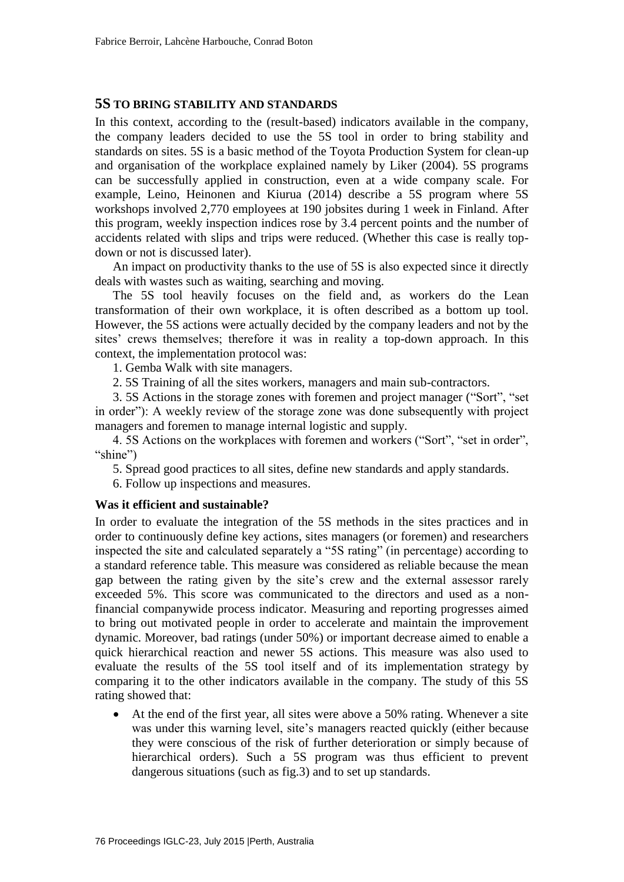#### **5S TO BRING STABILITY AND STANDARDS**

In this context, according to the (result-based) indicators available in the company, the company leaders decided to use the 5S tool in order to bring stability and standards on sites. 5S is a basic method of the Toyota Production System for clean-up and organisation of the workplace explained namely by Liker (2004). 5S programs can be successfully applied in construction, even at a wide company scale. For example, Leino, Heinonen and Kiurua (2014) describe a 5S program where 5S workshops involved 2,770 employees at 190 jobsites during 1 week in Finland. After this program, weekly inspection indices rose by 3.4 percent points and the number of accidents related with slips and trips were reduced. (Whether this case is really topdown or not is discussed later).

An impact on productivity thanks to the use of 5S is also expected since it directly deals with wastes such as waiting, searching and moving.

The 5S tool heavily focuses on the field and, as workers do the Lean transformation of their own workplace, it is often described as a bottom up tool. However, the 5S actions were actually decided by the company leaders and not by the sites' crews themselves; therefore it was in reality a top-down approach. In this context, the implementation protocol was:

1. Gemba Walk with site managers.

2. 5S Training of all the sites workers, managers and main sub-contractors.

3. 5S Actions in the storage zones with foremen and project manager ("Sort", "set in order"): A weekly review of the storage zone was done subsequently with project managers and foremen to manage internal logistic and supply.

4. 5S Actions on the workplaces with foremen and workers ("Sort", "set in order", "shine")

5. Spread good practices to all sites, define new standards and apply standards.

6. Follow up inspections and measures.

#### **Was it efficient and sustainable?**

In order to evaluate the integration of the 5S methods in the sites practices and in order to continuously define key actions, sites managers (or foremen) and researchers inspected the site and calculated separately a "5S rating" (in percentage) according to a standard reference table. This measure was considered as reliable because the mean gap between the rating given by the site's crew and the external assessor rarely exceeded 5%. This score was communicated to the directors and used as a nonfinancial companywide process indicator. Measuring and reporting progresses aimed to bring out motivated people in order to accelerate and maintain the improvement dynamic. Moreover, bad ratings (under 50%) or important decrease aimed to enable a quick hierarchical reaction and newer 5S actions. This measure was also used to evaluate the results of the 5S tool itself and of its implementation strategy by comparing it to the other indicators available in the company. The study of this 5S rating showed that:

 At the end of the first year, all sites were above a 50% rating. Whenever a site was under this warning level, site's managers reacted quickly (either because they were conscious of the risk of further deterioration or simply because of hierarchical orders). Such a 5S program was thus efficient to prevent dangerous situations (such as fig.3) and to set up standards.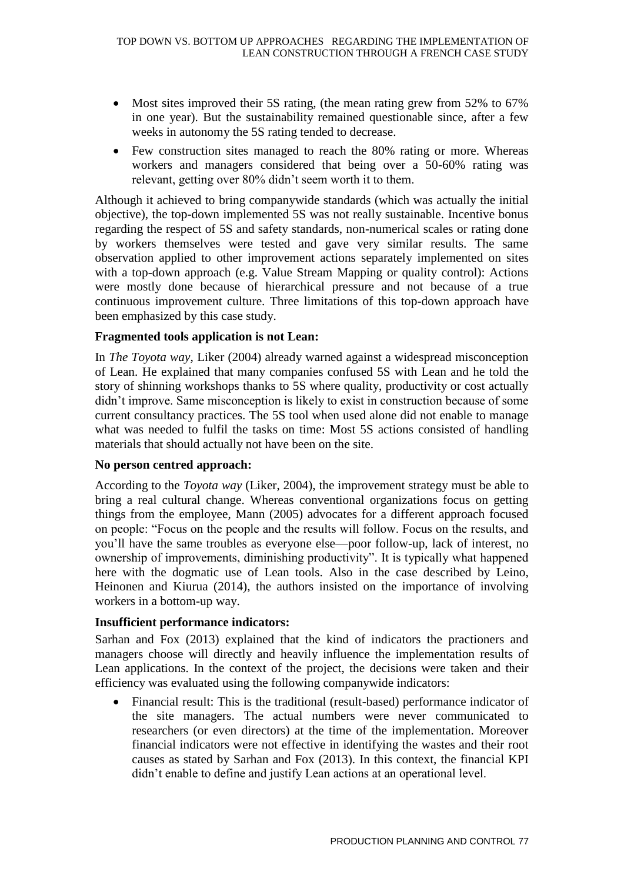- Most sites improved their 5S rating, (the mean rating grew from 52% to 67% in one year). But the sustainability remained questionable since, after a few weeks in autonomy the 5S rating tended to decrease.
- Few construction sites managed to reach the 80% rating or more. Whereas workers and managers considered that being over a 50-60% rating was relevant, getting over 80% didn't seem worth it to them.

Although it achieved to bring companywide standards (which was actually the initial objective), the top-down implemented 5S was not really sustainable. Incentive bonus regarding the respect of 5S and safety standards, non-numerical scales or rating done by workers themselves were tested and gave very similar results. The same observation applied to other improvement actions separately implemented on sites with a top-down approach (e.g. Value Stream Mapping or quality control): Actions were mostly done because of hierarchical pressure and not because of a true continuous improvement culture. Three limitations of this top-down approach have been emphasized by this case study.

#### **Fragmented tools application is not Lean:**

In *The Toyota way*, Liker (2004) already warned against a widespread misconception of Lean. He explained that many companies confused 5S with Lean and he told the story of shinning workshops thanks to 5S where quality, productivity or cost actually didn't improve. Same misconception is likely to exist in construction because of some current consultancy practices. The 5S tool when used alone did not enable to manage what was needed to fulfil the tasks on time: Most 5S actions consisted of handling materials that should actually not have been on the site.

#### **No person centred approach:**

According to the *Toyota way* (Liker, 2004), the improvement strategy must be able to bring a real cultural change. Whereas conventional organizations focus on getting things from the employee, Mann (2005) advocates for a different approach focused on people: "Focus on the people and the results will follow. Focus on the results, and you'll have the same troubles as everyone else—poor follow-up, lack of interest, no ownership of improvements, diminishing productivity". It is typically what happened here with the dogmatic use of Lean tools. Also in the case described by Leino, Heinonen and Kiurua (2014), the authors insisted on the importance of involving workers in a bottom-up way.

#### **Insufficient performance indicators:**

Sarhan and Fox (2013) explained that the kind of indicators the practioners and managers choose will directly and heavily influence the implementation results of Lean applications. In the context of the project, the decisions were taken and their efficiency was evaluated using the following companywide indicators:

• Financial result: This is the traditional (result-based) performance indicator of the site managers. The actual numbers were never communicated to researchers (or even directors) at the time of the implementation. Moreover financial indicators were not effective in identifying the wastes and their root causes as stated by Sarhan and Fox (2013). In this context, the financial KPI didn't enable to define and justify Lean actions at an operational level.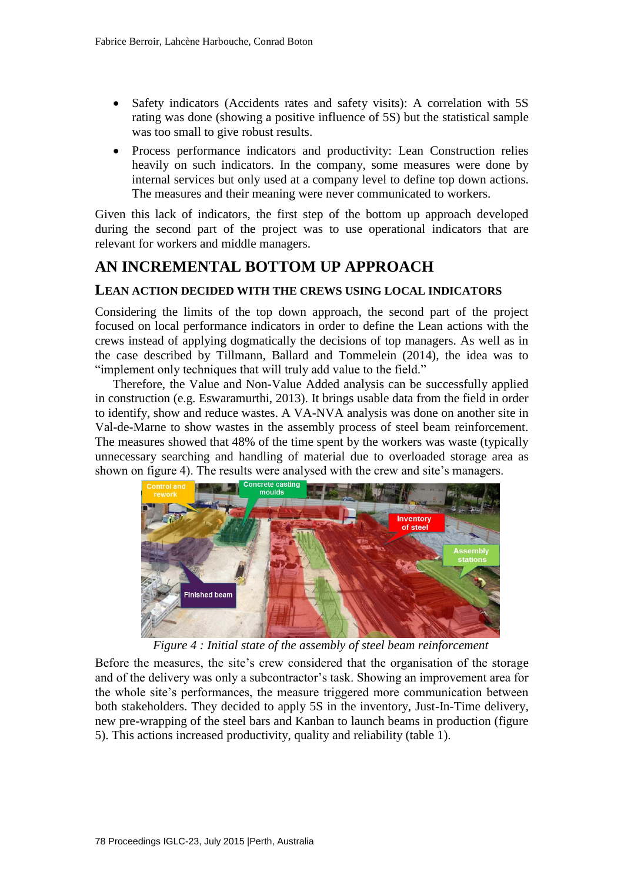- Safety indicators (Accidents rates and safety visits): A correlation with 5S rating was done (showing a positive influence of 5S) but the statistical sample was too small to give robust results.
- Process performance indicators and productivity: Lean Construction relies heavily on such indicators. In the company, some measures were done by internal services but only used at a company level to define top down actions. The measures and their meaning were never communicated to workers.

Given this lack of indicators, the first step of the bottom up approach developed during the second part of the project was to use operational indicators that are relevant for workers and middle managers.

# **AN INCREMENTAL BOTTOM UP APPROACH**

#### **LEAN ACTION DECIDED WITH THE CREWS USING LOCAL INDICATORS**

Considering the limits of the top down approach, the second part of the project focused on local performance indicators in order to define the Lean actions with the crews instead of applying dogmatically the decisions of top managers. As well as in the case described by Tillmann, Ballard and Tommelein (2014), the idea was to "implement only techniques that will truly add value to the field."

Therefore, the Value and Non-Value Added analysis can be successfully applied in construction (e.g. Eswaramurthi, 2013). It brings usable data from the field in order to identify, show and reduce wastes. A VA-NVA analysis was done on another site in Val-de-Marne to show wastes in the assembly process of steel beam reinforcement. The measures showed that 48% of the time spent by the workers was waste (typically unnecessary searching and handling of material due to overloaded storage area as shown on figure 4). The results were analysed with the crew and site's managers.



*Figure 4 : Initial state of the assembly of steel beam reinforcement*

Before the measures, the site's crew considered that the organisation of the storage and of the delivery was only a subcontractor's task. Showing an improvement area for the whole site's performances, the measure triggered more communication between both stakeholders. They decided to apply 5S in the inventory, Just-In-Time delivery, new pre-wrapping of the steel bars and Kanban to launch beams in production (figure 5). This actions increased productivity, quality and reliability (table 1).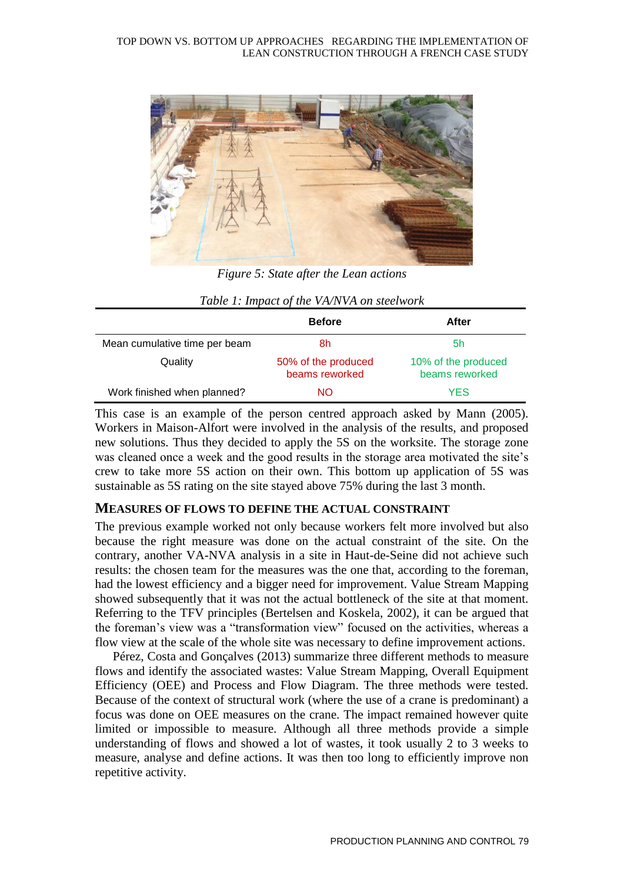

*Figure 5: State after the Lean actions*

|                               | <b>Before</b>                         | After                                 |
|-------------------------------|---------------------------------------|---------------------------------------|
| Mean cumulative time per beam | 8h                                    | 5h                                    |
| Quality                       | 50% of the produced<br>beams reworked | 10% of the produced<br>beams reworked |
| Work finished when planned?   | NΟ                                    | <b>YES</b>                            |

| Table 1: Impact of the VA/NVA on steelwork |  |  |
|--------------------------------------------|--|--|
|--------------------------------------------|--|--|

This case is an example of the person centred approach asked by Mann (2005). Workers in Maison-Alfort were involved in the analysis of the results, and proposed new solutions. Thus they decided to apply the 5S on the worksite. The storage zone was cleaned once a week and the good results in the storage area motivated the site's crew to take more 5S action on their own. This bottom up application of 5S was sustainable as 5S rating on the site stayed above 75% during the last 3 month.

#### **MEASURES OF FLOWS TO DEFINE THE ACTUAL CONSTRAINT**

The previous example worked not only because workers felt more involved but also because the right measure was done on the actual constraint of the site. On the contrary, another VA-NVA analysis in a site in Haut-de-Seine did not achieve such results: the chosen team for the measures was the one that, according to the foreman, had the lowest efficiency and a bigger need for improvement. Value Stream Mapping showed subsequently that it was not the actual bottleneck of the site at that moment. Referring to the TFV principles (Bertelsen and Koskela, 2002), it can be argued that the foreman's view was a "transformation view" focused on the activities, whereas a flow view at the scale of the whole site was necessary to define improvement actions.

Pérez, Costa and Gonçalves (2013) summarize three different methods to measure flows and identify the associated wastes: Value Stream Mapping, Overall Equipment Efficiency (OEE) and Process and Flow Diagram. The three methods were tested. Because of the context of structural work (where the use of a crane is predominant) a focus was done on OEE measures on the crane. The impact remained however quite limited or impossible to measure. Although all three methods provide a simple understanding of flows and showed a lot of wastes, it took usually 2 to 3 weeks to measure, analyse and define actions. It was then too long to efficiently improve non repetitive activity.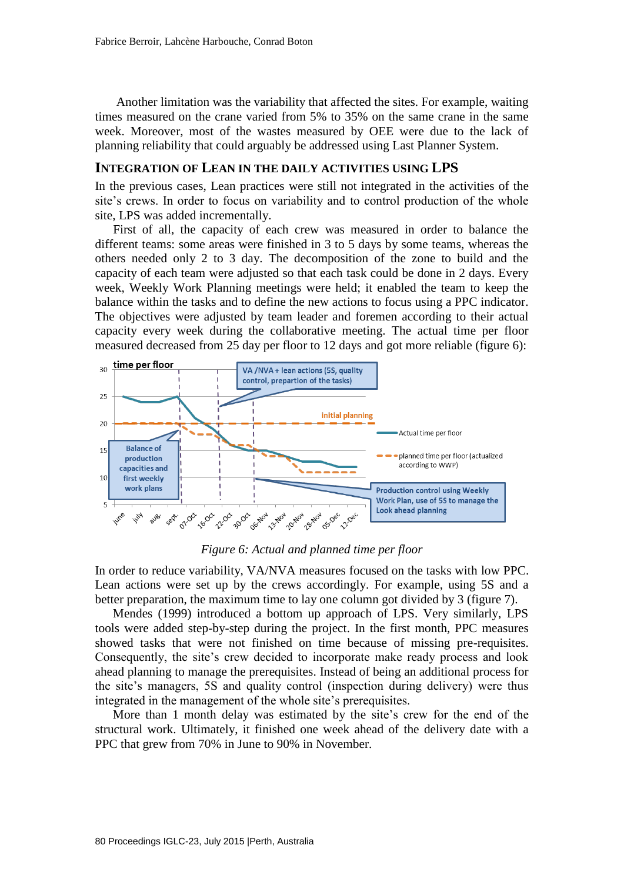Another limitation was the variability that affected the sites. For example, waiting times measured on the crane varied from 5% to 35% on the same crane in the same week. Moreover, most of the wastes measured by OEE were due to the lack of planning reliability that could arguably be addressed using Last Planner System.

#### **INTEGRATION OF LEAN IN THE DAILY ACTIVITIES USING LPS**

In the previous cases, Lean practices were still not integrated in the activities of the site's crews. In order to focus on variability and to control production of the whole site, LPS was added incrementally.

First of all, the capacity of each crew was measured in order to balance the different teams: some areas were finished in 3 to 5 days by some teams, whereas the others needed only 2 to 3 day. The decomposition of the zone to build and the capacity of each team were adjusted so that each task could be done in 2 days. Every week, Weekly Work Planning meetings were held; it enabled the team to keep the balance within the tasks and to define the new actions to focus using a PPC indicator. The objectives were adjusted by team leader and foremen according to their actual capacity every week during the collaborative meeting. The actual time per floor measured decreased from 25 day per floor to 12 days and got more reliable (figure 6):



*Figure 6: Actual and planned time per floor*

In order to reduce variability, VA/NVA measures focused on the tasks with low PPC. Lean actions were set up by the crews accordingly. For example, using 5S and a better preparation, the maximum time to lay one column got divided by 3 (figure 7).

Mendes (1999) introduced a bottom up approach of LPS. Very similarly, LPS tools were added step-by-step during the project. In the first month, PPC measures showed tasks that were not finished on time because of missing pre-requisites. Consequently, the site's crew decided to incorporate make ready process and look ahead planning to manage the prerequisites. Instead of being an additional process for the site's managers, 5S and quality control (inspection during delivery) were thus integrated in the management of the whole site's prerequisites.

More than 1 month delay was estimated by the site's crew for the end of the structural work. Ultimately, it finished one week ahead of the delivery date with a PPC that grew from 70% in June to 90% in November.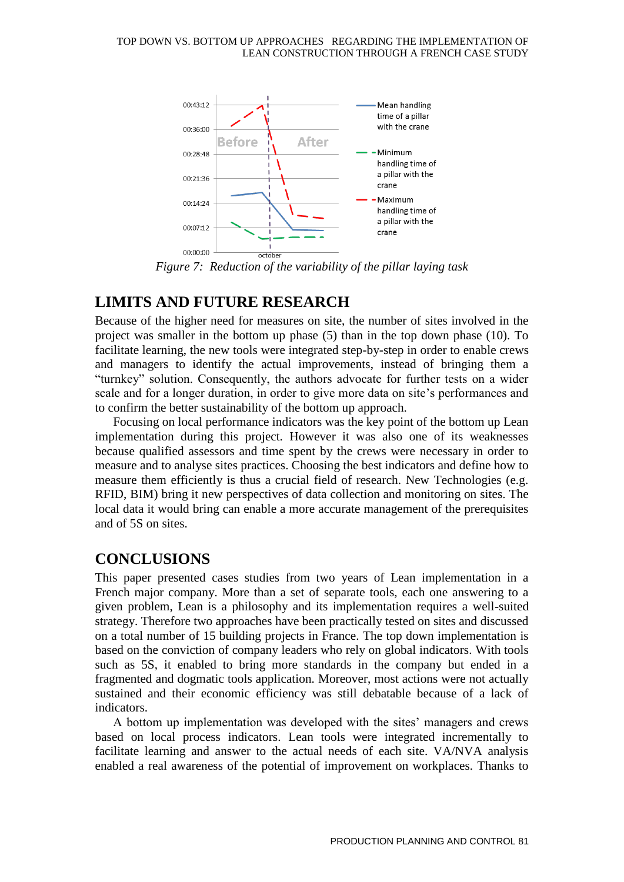

*Figure 7: Reduction of the variability of the pillar laying task*

### **LIMITS AND FUTURE RESEARCH**

Because of the higher need for measures on site, the number of sites involved in the project was smaller in the bottom up phase (5) than in the top down phase (10). To facilitate learning, the new tools were integrated step-by-step in order to enable crews and managers to identify the actual improvements, instead of bringing them a "turnkey" solution. Consequently, the authors advocate for further tests on a wider scale and for a longer duration, in order to give more data on site's performances and to confirm the better sustainability of the bottom up approach.

Focusing on local performance indicators was the key point of the bottom up Lean implementation during this project. However it was also one of its weaknesses because qualified assessors and time spent by the crews were necessary in order to measure and to analyse sites practices. Choosing the best indicators and define how to measure them efficiently is thus a crucial field of research. New Technologies (e.g. RFID, BIM) bring it new perspectives of data collection and monitoring on sites. The local data it would bring can enable a more accurate management of the prerequisites and of 5S on sites.

# **CONCLUSIONS**

This paper presented cases studies from two years of Lean implementation in a French major company. More than a set of separate tools, each one answering to a given problem, Lean is a philosophy and its implementation requires a well-suited strategy. Therefore two approaches have been practically tested on sites and discussed on a total number of 15 building projects in France. The top down implementation is based on the conviction of company leaders who rely on global indicators. With tools such as 5S, it enabled to bring more standards in the company but ended in a fragmented and dogmatic tools application. Moreover, most actions were not actually sustained and their economic efficiency was still debatable because of a lack of indicators.

A bottom up implementation was developed with the sites' managers and crews based on local process indicators. Lean tools were integrated incrementally to facilitate learning and answer to the actual needs of each site. VA/NVA analysis enabled a real awareness of the potential of improvement on workplaces. Thanks to